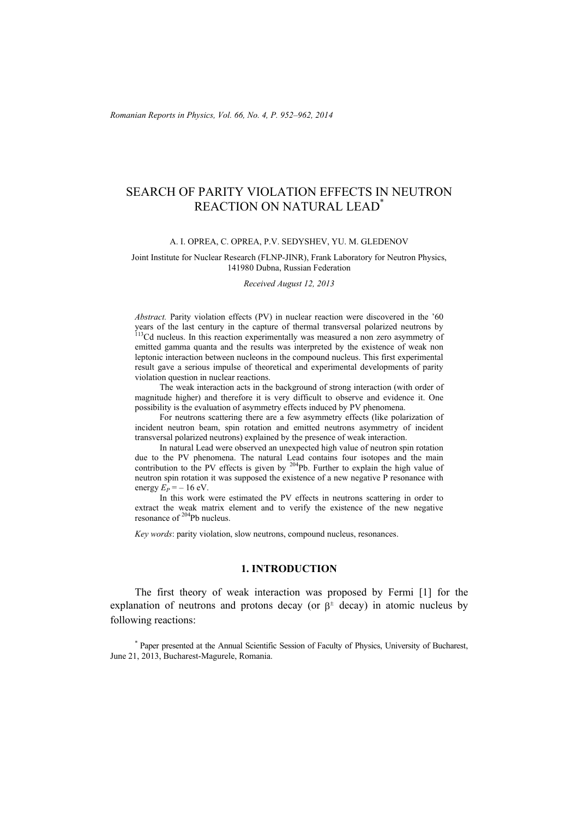# SEARCH OF PARITY VIOLATION EFFECTS IN NEUTRON REACTION ON NATURAL LEAD\*

#### A. I. OPREA, C. OPREA, P.V. SEDYSHEV, YU. M. GLEDENOV

#### Joint Institute for Nuclear Research (FLNP-JINR), Frank Laboratory for Neutron Physics, 141980 Dubna, Russian Federation

*Received August 12, 2013* 

*Abstract.* Parity violation effects (PV) in nuclear reaction were discovered in the '60 years of the last century in the capture of thermal transversal polarized neutrons by <sup>113</sup>Cd nucleus. In this reaction experimentally was measured a non zero asymmetry of emitted gamma quanta and the results was interpreted by the existence of weak non leptonic interaction between nucleons in the compound nucleus. This first experimental result gave a serious impulse of theoretical and experimental developments of parity violation question in nuclear reactions.

 The weak interaction acts in the background of strong interaction (with order of magnitude higher) and therefore it is very difficult to observe and evidence it. One possibility is the evaluation of asymmetry effects induced by PV phenomena.

 For neutrons scattering there are a few asymmetry effects (like polarization of incident neutron beam, spin rotation and emitted neutrons asymmetry of incident transversal polarized neutrons) explained by the presence of weak interaction.

 In natural Lead were observed an unexpected high value of neutron spin rotation due to the PV phenomena. The natural Lead contains four isotopes and the main contribution to the PV effects is given by  $204Pb$ . Further to explain the high value of neutron spin rotation it was supposed the existence of a new negative P resonance with energy  $\hat{E_P}$  = – 16 eV.

 In this work were estimated the PV effects in neutrons scattering in order to extract the weak matrix element and to verify the existence of the new negative resonance of  $204$ Pb nucleus.

*Key words*: parity violation, slow neutrons, compound nucleus, resonances.

## **1. INTRODUCTION**

 The first theory of weak interaction was proposed by Fermi [1] for the explanation of neutrons and protons decay (or  $\beta^{\pm}$  decay) in atomic nucleus by following reactions:

\* Paper presented at the Annual Scientific Session of Faculty of Physics, University of Bucharest, June 21, 2013, Bucharest-Magurele, Romania.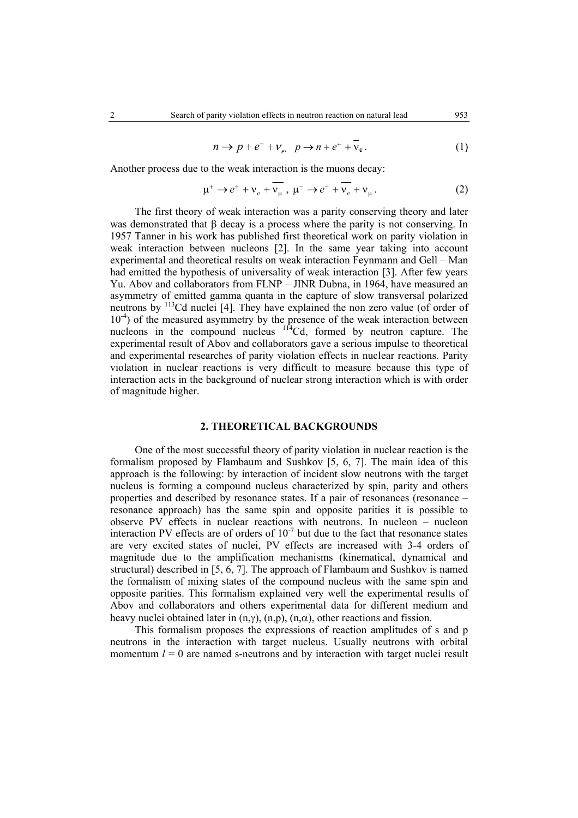$$
n \to p + e^- + \nu_e, \quad p \to n + e^+ + \bar{\nu}_e. \tag{1}
$$

Another process due to the weak interaction is the muons decay:

$$
\mu^+ \to e^+ + \nu_e + \nu_\mu \ , \ \mu^- \to e^- + \nu_e + \nu_\mu \ . \tag{2}
$$

 The first theory of weak interaction was a parity conserving theory and later was demonstrated that  $\beta$  decay is a process where the parity is not conserving. In 1957 Tanner in his work has published first theoretical work on parity violation in weak interaction between nucleons [2]. In the same year taking into account experimental and theoretical results on weak interaction Feynmann and Gell – Man had emitted the hypothesis of universality of weak interaction [3]. After few years Yu. Abov and collaborators from FLNP – JINR Dubna, in 1964, have measured an asymmetry of emitted gamma quanta in the capture of slow transversal polarized neutrons by 113Cd nuclei [4]. They have explained the non zero value (of order of  $10^{-4}$ ) of the measured asymmetry by the presence of the weak interaction between nucleons in the compound nucleus <sup>114</sup>Cd, formed by neutron capture. The experimental result of Abov and collaborators gave a serious impulse to theoretical and experimental researches of parity violation effects in nuclear reactions. Parity violation in nuclear reactions is very difficult to measure because this type of interaction acts in the background of nuclear strong interaction which is with order of magnitude higher.

## **2. THEORETICAL BACKGROUNDS**

 One of the most successful theory of parity violation in nuclear reaction is the formalism proposed by Flambaum and Sushkov [5, 6, 7]. The main idea of this approach is the following: by interaction of incident slow neutrons with the target nucleus is forming a compound nucleus characterized by spin, parity and others properties and described by resonance states. If a pair of resonances (resonance – resonance approach) has the same spin and opposite parities it is possible to observe PV effects in nuclear reactions with neutrons. In nucleon – nucleon interaction PV effects are of orders of  $10^{-7}$  but due to the fact that resonance states are very excited states of nuclei, PV effects are increased with 3-4 orders of magnitude due to the amplification mechanisms (kinematical, dynamical and structural) described in [5, 6, 7]. The approach of Flambaum and Sushkov is named the formalism of mixing states of the compound nucleus with the same spin and opposite parities. This formalism explained very well the experimental results of Abov and collaborators and others experimental data for different medium and heavy nuclei obtained later in  $(n, \gamma)$ ,  $(n, p)$ ,  $(n, \alpha)$ , other reactions and fission.

 This formalism proposes the expressions of reaction amplitudes of s and p neutrons in the interaction with target nucleus. Usually neutrons with orbital momentum  $l = 0$  are named s-neutrons and by interaction with target nuclei result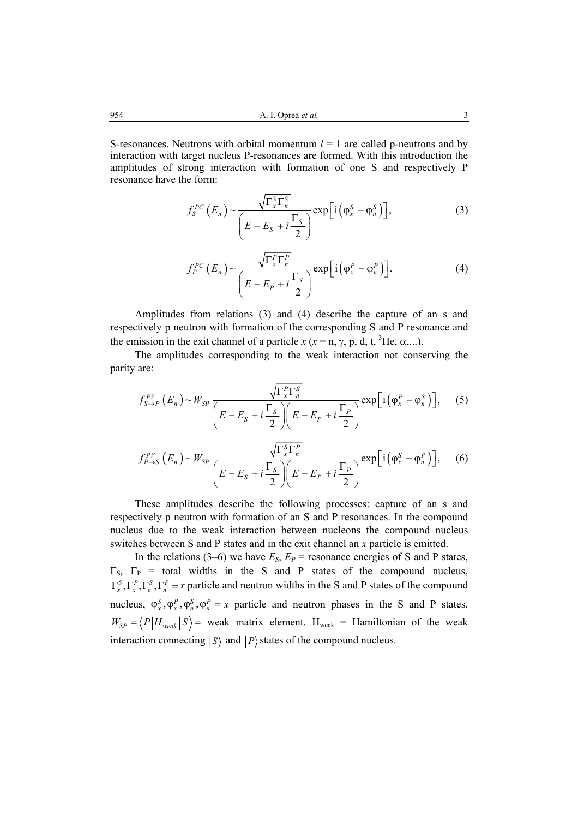S-resonances. Neutrons with orbital momentum  $l = 1$  are called p-neutrons and by interaction with target nucleus P-resonances are formed. With this introduction the amplitudes of strong interaction with formation of one S and respectively P resonance have the form:

$$
f_S^{PC}(E_n) \sim \frac{\sqrt{\Gamma_x^S \Gamma_n^S}}{\left(E - E_S + i \frac{\Gamma_S}{2}\right)} \exp\left[i\left(\varphi_x^S - \varphi_n^S\right)\right],\tag{3}
$$

$$
f_P^{PC}(E_n) \sim \frac{\sqrt{\Gamma_x^P \Gamma_n^P}}{\left(E - E_P + i \frac{\Gamma_S}{2}\right)} \exp\left[i\left(\varphi_x^P - \varphi_n^P\right)\right].
$$
 (4)

Amplitudes from relations (3) and (4) describe the capture of an s and respectively p neutron with formation of the corresponding S and P resonance and the emission in the exit channel of a particle  $x$  ( $x = n$ ,  $\gamma$ ,  $p$ , d, t, <sup>3</sup>He,  $\alpha$ ,...).

The amplitudes corresponding to the weak interaction not conserving the parity are:

$$
f_{S\to P}^{PV}\left(E_n\right) \sim W_{SP}\frac{\sqrt{\Gamma_x^P\Gamma_n^S}}{\left(E - E_S + i\frac{\Gamma_S}{2}\right)\left(E - E_P + i\frac{\Gamma_P}{2}\right)} \exp\left[i\left(\varphi_x^P - \varphi_n^S\right)\right],\qquad(5)
$$

$$
f_{P\to S}^{PV}\left(E_n\right) \sim W_{SP}\frac{\sqrt{\Gamma_x^S\Gamma_n^P}}{\left(E - E_S + i\frac{\Gamma_S}{2}\right)\left(E - E_P + i\frac{\Gamma_P}{2}\right)} \exp\left[i\left(\varphi_x^S - \varphi_n^P\right)\right],\quad (6)
$$

These amplitudes describe the following processes: capture of an s and respectively p neutron with formation of an S and P resonances. In the compound nucleus due to the weak interaction between nucleons the compound nucleus switches between S and P states and in the exit channel an *x* particle is emitted.

In the relations (3–6) we have  $E_S$ ,  $E_P$  = resonance energies of S and P states,  $\Gamma$ <sub>S</sub>,  $\Gamma$ <sub>P</sub> = total widths in the S and P states of the compound nucleus,  $\Gamma_x^S$ ,  $\Gamma_x^P$ ,  $\Gamma_n^S$ ,  $\Gamma_n^P$  = *x* particle and neutron widths in the S and P states of the compound nucleus,  $\varphi_x^S$ ,  $\varphi_x^P$ ,  $\varphi_n^S$ ,  $\varphi_n^P$  = *x* particle and neutron phases in the S and P states,  $W_{SP} = \langle P|H_{weak}|S \rangle$  weak matrix element,  $H_{weak} =$  Hamiltonian of the weak interaction connecting  $|S\rangle$  and  $|P\rangle$  states of the compound nucleus.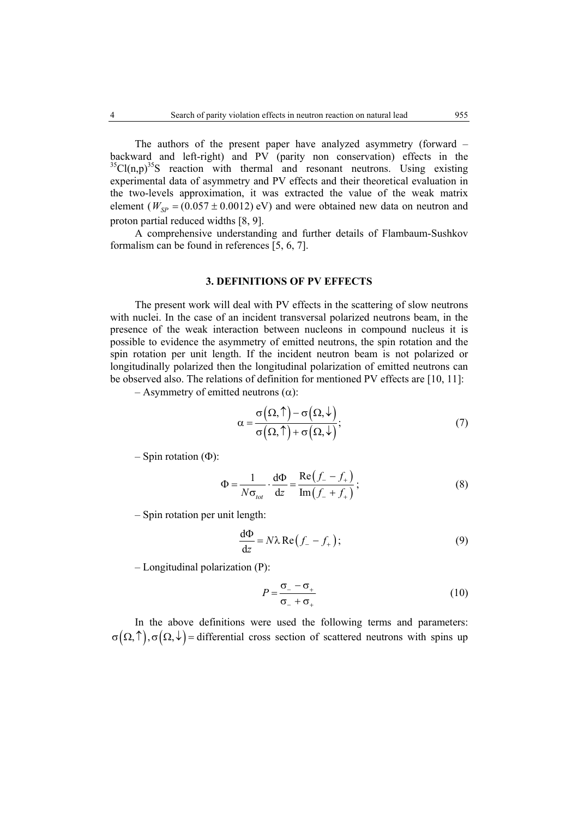The authors of the present paper have analyzed asymmetry (forward – backward and left-right) and PV (parity non conservation) effects in the  $35^{\circ}$ Cl(n,p)<sup>35</sup>S reaction with thermal and resonant neutrons. Using existing experimental data of asymmetry and PV effects and their theoretical evaluation in the two-levels approximation, it was extracted the value of the weak matrix element ( $W_{SP} = (0.057 \pm 0.0012)$  *eV)* and were obtained new data on neutron and proton partial reduced widths [8, 9].

 A comprehensive understanding and further details of Flambaum-Sushkov formalism can be found in references [5, 6, 7].

## **3. DEFINITIONS OF PV EFFECTS**

 The present work will deal with PV effects in the scattering of slow neutrons with nuclei. In the case of an incident transversal polarized neutrons beam, in the presence of the weak interaction between nucleons in compound nucleus it is possible to evidence the asymmetry of emitted neutrons, the spin rotation and the spin rotation per unit length. If the incident neutron beam is not polarized or longitudinally polarized then the longitudinal polarization of emitted neutrons can be observed also. The relations of definition for mentioned PV effects are [10, 11]:

– Asymmetry of emitted neutrons (α):

$$
\alpha = \frac{\sigma(\Omega, \uparrow) - \sigma(\Omega, \downarrow)}{\sigma(\Omega, \uparrow) + \sigma(\Omega, \downarrow)};
$$
\n(7)

– Spin rotation  $(\Phi)$ :

$$
\Phi = \frac{1}{N\sigma_{tot}} \cdot \frac{d\Phi}{dz} = \frac{\text{Re}\left(f_- - f_+\right)}{\text{Im}\left(f_- + f_+\right)}\,,\tag{8}
$$

– Spin rotation per unit length:

$$
\frac{d\Phi}{dz} = N\lambda \operatorname{Re}\left(f_{-} - f_{+}\right);\tag{9}
$$

– Longitudinal polarization (P):

$$
P = \frac{\sigma_{-} - \sigma_{+}}{\sigma_{-} + \sigma_{+}}
$$
 (10)

 In the above definitions were used the following terms and parameters:  $\sigma(\Omega,\hat{\Lambda})$ ,  $\sigma(\Omega,\hat{\Lambda})$  = differential cross section of scattered neutrons with spins up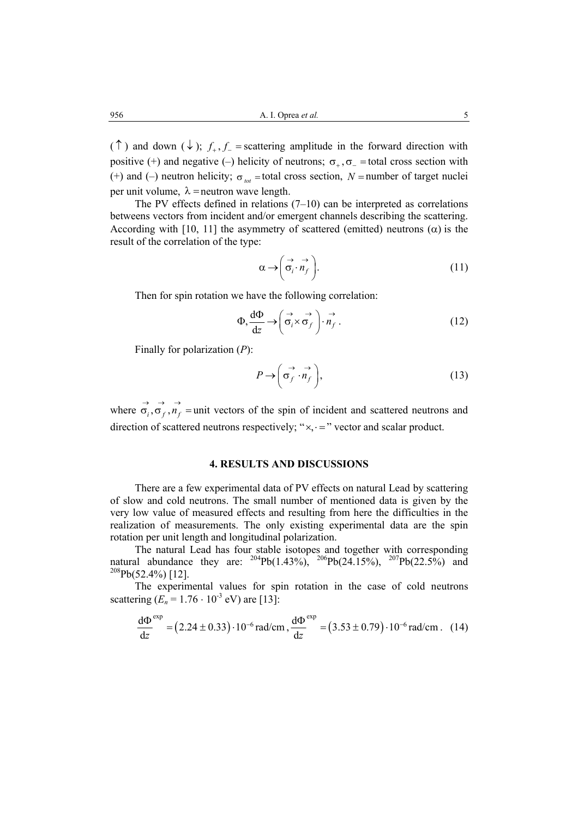( $\uparrow$ ) and down ( $\downarrow$ );  $f_{+}, f_{-}$  = scattering amplitude in the forward direction with positive (+) and negative (-) helicity of neutrons;  $\sigma_{+}, \sigma_{-}$  = total cross section with (+) and (-) neutron helicity;  $\sigma_{tot}$  = total cross section, *N* = number of target nuclei per unit volume,  $\lambda$  = neutron wave length.

 The PV effects defined in relations (7–10) can be interpreted as correlations betweens vectors from incident and/or emergent channels describing the scattering. According with [10, 11] the asymmetry of scattered (emitted) neutrons  $(\alpha)$  is the result of the correlation of the type:

$$
\alpha \to \left(\vec{\sigma}_i \cdot \vec{n}_f\right). \tag{11}
$$

Then for spin rotation we have the following correlation:

$$
\Phi, \frac{d\Phi}{dz} \to \left(\vec{\sigma}_i \times \vec{\sigma}_f\right) \cdot \vec{n}_f \,. \tag{12}
$$

Finally for polarization (*P*):

$$
P \to \left(\vec{\sigma}_f \cdot \vec{n}_f\right),\tag{13}
$$

where  $\overrightarrow{\sigma_i}$ ,  $\overrightarrow{\sigma_f}$ ,  $\overrightarrow{n_f}$  = unit vectors of the spin of incident and scattered neutrons and direction of scattered neutrons respectively; " $\times$ ,  $\cdot$  =" vector and scalar product.

## **4. RESULTS AND DISCUSSIONS**

There are a few experimental data of PV effects on natural Lead by scattering of slow and cold neutrons. The small number of mentioned data is given by the very low value of measured effects and resulting from here the difficulties in the realization of measurements. The only existing experimental data are the spin rotation per unit length and longitudinal polarization.

The natural Lead has four stable isotopes and together with corresponding natural abundance they are:  $^{204}Pb(1.43\%)$ ,  $^{206}Pb(24.15\%)$ ,  $^{207}Pb(22.5\%)$  and  $^{208}Pb(52.4\%)$  [12].

The experimental values for spin rotation in the case of cold neutrons scattering  $(E_n = 1.76 \cdot 10^{-3} \text{ eV})$  are [13]:

$$
\frac{d\Phi^{\text{exp}}}{dz} = (2.24 \pm 0.33) \cdot 10^{-6} \text{ rad/cm}, \frac{d\Phi^{\text{exp}}}{dz} = (3.53 \pm 0.79) \cdot 10^{-6} \text{ rad/cm}. \quad (14)
$$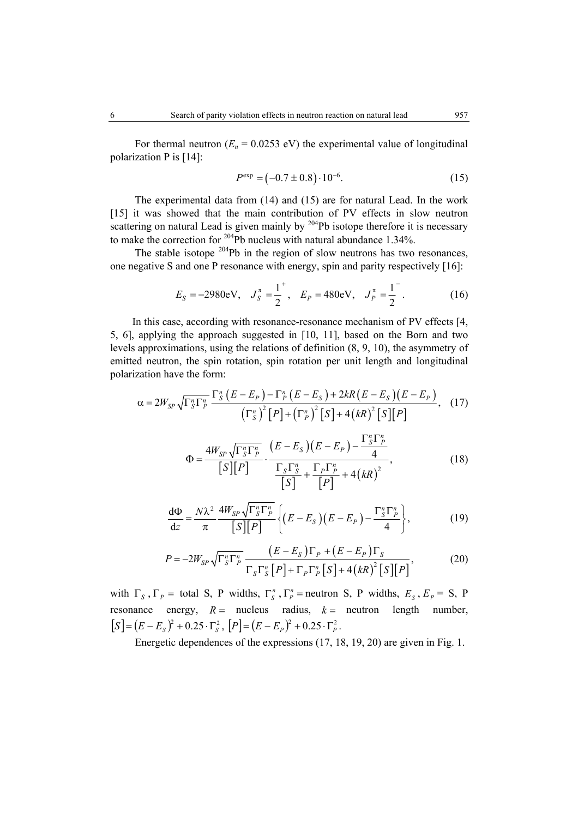For thermal neutron  $(E_n = 0.0253 \text{ eV})$  the experimental value of longitudinal polarization P is [14]:

$$
P^{\exp} = (-0.7 \pm 0.8) \cdot 10^{-6}.
$$
 (15)

 The experimental data from (14) and (15) are for natural Lead. In the work [15] it was showed that the main contribution of PV effects in slow neutron scattering on natural Lead is given mainly by  $204Pb$  isotope therefore it is necessary to make the correction for 204Pb nucleus with natural abundance 1.34%.

The stable isotope  $204Pb$  in the region of slow neutrons has two resonances, one negative S and one P resonance with energy, spin and parity respectively [16]:

$$
E_S = -2980 \text{eV}, \quad J_S^{\pi} = \frac{1}{2}^+, \quad E_P = 480 \text{eV}, \quad J_P^{\pi} = \frac{1}{2}^-. \tag{16}
$$

In this case, according with resonance-resonance mechanism of PV effects [4, 5, 6], applying the approach suggested in [10, 11], based on the Born and two levels approximations, using the relations of definition (8, 9, 10), the asymmetry of emitted neutron, the spin rotation, spin rotation per unit length and longitudinal polarization have the form:

$$
\alpha = 2W_{SP} \sqrt{\Gamma_S^n \Gamma_P^n} \frac{\Gamma_S^n (E - E_P) - \Gamma_P^n (E - E_S) + 2kR(E - E_S)(E - E_P)}{(\Gamma_S^n)^2 [P] + (\Gamma_P^n)^2 [S] + 4(kR)^2 [S][P]}, \quad (17)
$$
  

$$
\Phi = \frac{4W_{SP} \sqrt{\Gamma_S^n \Gamma_P^n}}{[S][P]} \cdot \frac{(E - E_S)(E - E_P) - \frac{\Gamma_S^n \Gamma_P^n}{4}}{[S]^2 + \frac{\Gamma_P \Gamma_P^n}{[P]} + 4(kR)^2}, \quad (18)
$$

*S P*

$$
\frac{d\Phi}{dz} = \frac{N\lambda^2}{\pi} \frac{4W_{SP}\sqrt{\Gamma_S^n \Gamma_P^n}}{S[[P]]} \left\{ (E - E_S)(E - E_P) - \frac{\Gamma_S^n \Gamma_P^n}{4} \right\},\tag{19}
$$

$$
P = -2W_{SP} \sqrt{\Gamma_S^n \Gamma_P^n} \frac{\left(E - E_S\right) \Gamma_P + \left(E - E_P\right) \Gamma_S}{\Gamma_S \Gamma_S^n \left[P\right] + \Gamma_P \Gamma_P^n \left[S\right] + 4\left(kR\right)^2 \left[S\right] \left[P\right]},\tag{20}
$$

with  $\Gamma_S$ ,  $\Gamma_P$  = total S, P widths,  $\Gamma_S^n$ ,  $\Gamma_P^n$  = neutron S, P widths,  $E_S$ ,  $E_P$  = S, P resonance energy,  $R =$  nucleus radius,  $k =$  neutron length number,  $[S] = (E - E_s)^2 + 0.25 \cdot \Gamma_s^2$ ,  $[P] = (E - E_p)^2 + 0.25 \cdot \Gamma_p^2$ .

Energetic dependences of the expressions (17, 18, 19, 20) are given in Fig. 1.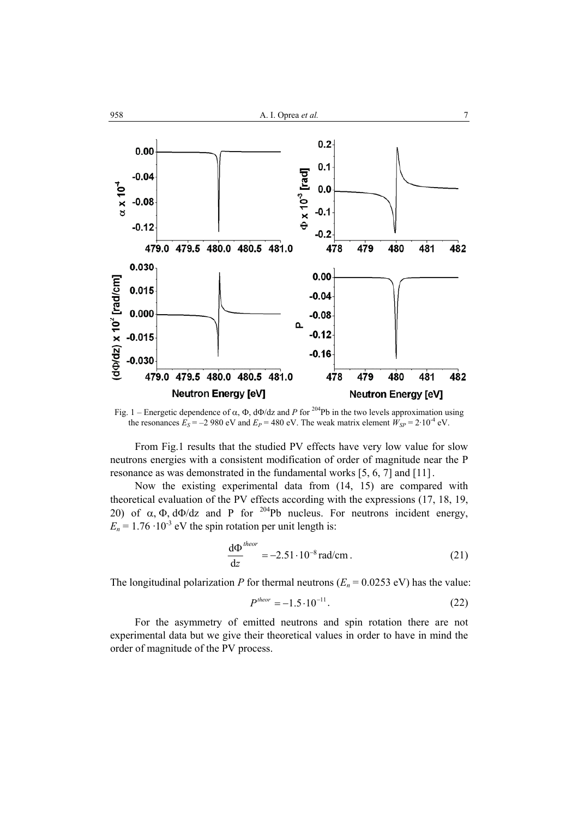

Fig. 1 – Energetic dependence of α,  $\Phi$ , d $\Phi$ /dz and *P* for <sup>204</sup>Pb in the two levels approximation using the resonances  $E_S = -2980$  eV and  $E_P = 480$  eV. The weak matrix element  $W_{SP} = 2.10^{-4}$  eV.

 From Fig.1 results that the studied PV effects have very low value for slow neutrons energies with a consistent modification of order of magnitude near the P resonance as was demonstrated in the fundamental works [5, 6, 7] and [11] .

Now the existing experimental data from (14, 15) are compared with theoretical evaluation of the PV effects according with the expressions (17, 18, 19, 20) of  $\alpha$ ,  $\Phi$ , d $\Phi$ /dz and P for <sup>204</sup>Pb nucleus. For neutrons incident energy,  $E_n = 1.76 \cdot 10^{-3}$  eV the spin rotation per unit length is:

$$
\frac{d\Phi^{theor}}{dz} = -2.51 \cdot 10^{-8} \text{ rad/cm} \,. \tag{21}
$$

The longitudinal polarization *P* for thermal neutrons  $(E_n = 0.0253 \text{ eV})$  has the value:

$$
P^{theor} = -1.5 \cdot 10^{-11}.
$$
 (22)

For the asymmetry of emitted neutrons and spin rotation there are not experimental data but we give their theoretical values in order to have in mind the order of magnitude of the PV process.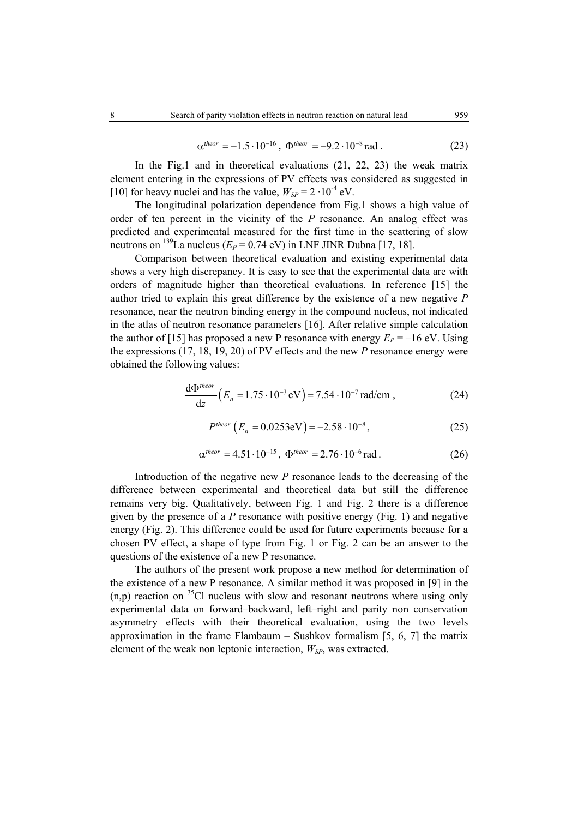$$
\alpha^{theor} = -1.5 \cdot 10^{-16}, \ \Phi^{theor} = -9.2 \cdot 10^{-8} \text{ rad} \ . \tag{23}
$$

 In the Fig.1 and in theoretical evaluations (21, 22, 23) the weak matrix element entering in the expressions of PV effects was considered as suggested in [10] for heavy nuclei and has the value,  $W_{SP} = 2 \cdot 10^{-4}$  eV.

 The longitudinal polarization dependence from Fig.1 shows a high value of order of ten percent in the vicinity of the *P* resonance. An analog effect was predicted and experimental measured for the first time in the scattering of slow neutrons on <sup>139</sup>La nucleus ( $E_P = 0.74$  eV) in LNF JINR Dubna [17, 18].

 Comparison between theoretical evaluation and existing experimental data shows a very high discrepancy. It is easy to see that the experimental data are with orders of magnitude higher than theoretical evaluations. In reference [15] the author tried to explain this great difference by the existence of a new negative *P* resonance, near the neutron binding energy in the compound nucleus, not indicated in the atlas of neutron resonance parameters [16]. After relative simple calculation the author of [15] has proposed a new P resonance with energy  $E_P = -16$  eV. Using the expressions (17, 18, 19, 20) of PV effects and the new *P* resonance energy were obtained the following values:

$$
\frac{d\Phi^{theor}}{dz} (E_n = 1.75 \cdot 10^{-3} \text{ eV}) = 7.54 \cdot 10^{-7} \text{ rad/cm} ,
$$
 (24)

$$
P^{theor} (E_n = 0.0253 \text{eV}) = -2.58 \cdot 10^{-8}, \qquad (25)
$$

$$
\alpha^{theor} = 4.51 \cdot 10^{-15}, \ \Phi^{theor} = 2.76 \cdot 10^{-6} \text{rad} \,. \tag{26}
$$

Introduction of the negative new *P* resonance leads to the decreasing of the difference between experimental and theoretical data but still the difference remains very big. Qualitatively, between Fig. 1 and Fig. 2 there is a difference given by the presence of a *P* resonance with positive energy (Fig. 1) and negative energy (Fig. 2). This difference could be used for future experiments because for a chosen PV effect, a shape of type from Fig. 1 or Fig. 2 can be an answer to the questions of the existence of a new P resonance.

The authors of the present work propose a new method for determination of the existence of a new P resonance. A similar method it was proposed in [9] in the  $(n,p)$  reaction on <sup>35</sup>Cl nucleus with slow and resonant neutrons where using only experimental data on forward–backward, left–right and parity non conservation asymmetry effects with their theoretical evaluation, using the two levels approximation in the frame Flambaum – Sushkov formalism  $[5, 6, 7]$  the matrix element of the weak non leptonic interaction,  $W_{SP}$ , was extracted.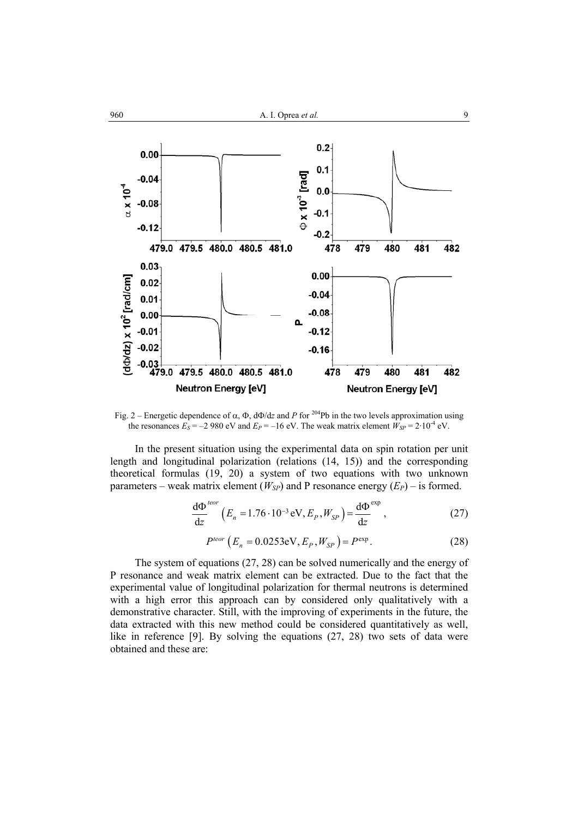

Fig. 2 – Energetic dependence of  $\alpha$ ,  $\Phi$ ,  $d\Phi/dz$  and *P* for <sup>204</sup>Pb in the two levels approximation using the resonances  $E_S = -2980$  eV and  $E_P = -16$  eV. The weak matrix element  $W_{SP} = 2.10^{-4}$  eV.

In the present situation using the experimental data on spin rotation per unit length and longitudinal polarization (relations (14, 15)) and the corresponding theoretical formulas (19, 20) a system of two equations with two unknown parameters – weak matrix element  $(W_{SP})$  and P resonance energy  $(E_P)$  – is formed.

$$
\frac{\mathrm{d}\Phi}{\mathrm{d}z}^{teor} \left( E_n = 1.76 \cdot 10^{-3} \,\mathrm{eV}, E_p, W_{SP} \right) = \frac{\mathrm{d}\Phi}{\mathrm{d}z}^{\mathrm{exp}} \,, \tag{27}
$$

$$
P^{teor} (E_n = 0.0253 \text{eV}, E_p, W_{SP}) = P^{\text{exp}}.
$$
 (28)

The system of equations (27, 28) can be solved numerically and the energy of P resonance and weak matrix element can be extracted. Due to the fact that the experimental value of longitudinal polarization for thermal neutrons is determined with a high error this approach can by considered only qualitatively with a demonstrative character. Still, with the improving of experiments in the future, the data extracted with this new method could be considered quantitatively as well, like in reference [9]. By solving the equations (27, 28) two sets of data were obtained and these are: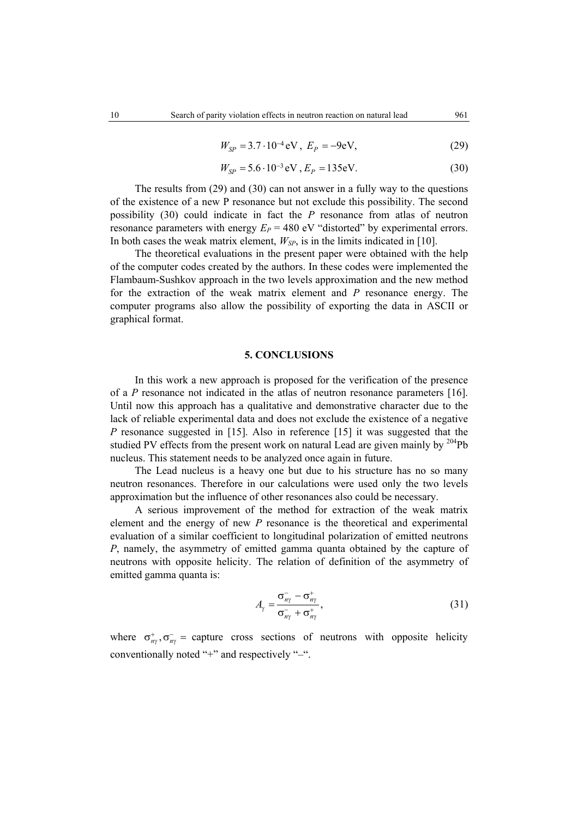$$
W_{SP} = 3.7 \cdot 10^{-4} \,\text{eV}, \ E_P = -9 \,\text{eV}, \tag{29}
$$

$$
W_{SP} = 5.6 \cdot 10^{-3} \text{ eV}, E_P = 135 \text{ eV}.
$$
 (30)

The results from (29) and (30) can not answer in a fully way to the questions of the existence of a new P resonance but not exclude this possibility. The second possibility (30) could indicate in fact the *P* resonance from atlas of neutron resonance parameters with energy  $E_P = 480$  eV "distorted" by experimental errors. In both cases the weak matrix element,  $W_{SP}$ , is in the limits indicated in [10].

The theoretical evaluations in the present paper were obtained with the help of the computer codes created by the authors. In these codes were implemented the Flambaum-Sushkov approach in the two levels approximation and the new method for the extraction of the weak matrix element and *P* resonance energy. The computer programs also allow the possibility of exporting the data in ASCII or graphical format.

#### **5. CONCLUSIONS**

 In this work a new approach is proposed for the verification of the presence of a *P* resonance not indicated in the atlas of neutron resonance parameters [16]. Until now this approach has a qualitative and demonstrative character due to the lack of reliable experimental data and does not exclude the existence of a negative *P* resonance suggested in [15]. Also in reference [15] it was suggested that the studied PV effects from the present work on natural Lead are given mainly by  $204Pb$ nucleus. This statement needs to be analyzed once again in future.

The Lead nucleus is a heavy one but due to his structure has no so many neutron resonances. Therefore in our calculations were used only the two levels approximation but the influence of other resonances also could be necessary.

A serious improvement of the method for extraction of the weak matrix element and the energy of new *P* resonance is the theoretical and experimental evaluation of a similar coefficient to longitudinal polarization of emitted neutrons *P*, namely, the asymmetry of emitted gamma quanta obtained by the capture of neutrons with opposite helicity. The relation of definition of the asymmetry of emitted gamma quanta is:

$$
A_{\gamma} = \frac{\sigma_{n\gamma}^{-} - \sigma_{n\gamma}^{+}}{\sigma_{n\gamma}^{-} + \sigma_{n\gamma}^{+}},
$$
\n(31)

where  $\sigma_{n\gamma}^+$ ,  $\sigma_{n\gamma}^-$  = capture cross sections of neutrons with opposite helicity conventionally noted "+" and respectively "–".